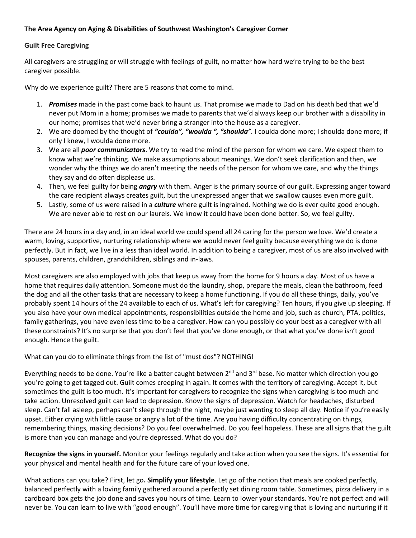## **The Area Agency on Aging & Disabilities of Southwest Washington's Caregiver Corner**

## **Guilt Free Caregiving**

All caregivers are struggling or will struggle with feelings of guilt, no matter how hard we're trying to be the best caregiver possible.

Why do we experience guilt? There are 5 reasons that come to mind.

- 1. *Promises* made in the past come back to haunt us. That promise we made to Dad on his death bed that we'd never put Mom in a home; promises we made to parents that we'd always keep our brother with a disability in our home; promises that we'd never bring a stranger into the house as a caregiver.
- 2. We are doomed by the thought of *"coulda", "woulda ", "shoulda".* I coulda done more; I shoulda done more; if only I knew, I woulda done more.
- 3. We are all *poor communicators*. We try to read the mind of the person for whom we care. We expect them to know what we're thinking. We make assumptions about meanings. We don't seek clarification and then, we wonder why the things we do aren't meeting the needs of the person for whom we care, and why the things they say and do often displease us.
- 4. Then, we feel guilty for being *angry* with them. Anger is the primary source of our guilt. Expressing anger toward the care recipient always creates guilt, but the unexpressed anger that we swallow causes even more guilt.
- 5. Lastly, some of us were raised in a *culture* where guilt is ingrained. Nothing we do is ever quite good enough. We are never able to rest on our laurels. We know it could have been done better. So, we feel guilty.

There are 24 hours in a day and, in an ideal world we could spend all 24 caring for the person we love. We'd create a warm, loving, supportive, nurturing relationship where we would never feel guilty because everything we do is done perfectly. But in fact, we live in a less than ideal world. In addition to being a caregiver, most of us are also involved with spouses, parents, children, grandchildren, siblings and in-laws.

Most caregivers are also employed with jobs that keep us away from the home for 9 hours a day. Most of us have a home that requires daily attention. Someone must do the laundry, shop, prepare the meals, clean the bathroom, feed the dog and all the other tasks that are necessary to keep a home functioning. If you do all these things, daily, you've probably spent 14 hours of the 24 available to each of us. What's left for caregiving? Ten hours, if you give up sleeping. If you also have your own medical appointments, responsibilities outside the home and job, such as church, PTA, politics, family gatherings, you have even less time to be a caregiver. How can you possibly do your best as a caregiver with all these constraints? It's no surprise that you don't feel that you've done enough, or that what you've done isn't good enough. Hence the guilt.

What can you do to eliminate things from the list of "must dos"? NOTHING!

Everything needs to be done. You're like a batter caught between  $2^{nd}$  and  $3^{rd}$  base. No matter which direction you go you're going to get tagged out. Guilt comes creeping in again. It comes with the territory of caregiving. Accept it, but sometimes the guilt is too much. It's important for caregivers to recognize the signs when caregiving is too much and take action. Unresolved guilt can lead to depression. Know the signs of depression. Watch for headaches, disturbed sleep. Can't fall asleep, perhaps can't sleep through the night, maybe just wanting to sleep all day. Notice if you're easily upset. Either crying with little cause or angry a lot of the time. Are you having difficulty concentrating on things, remembering things, making decisions? Do you feel overwhelmed. Do you feel hopeless. These are all signs that the guilt is more than you can manage and you're depressed. What do you do?

**Recognize the signs in yourself.** Monitor your feelings regularly and take action when you see the signs. It's essential for your physical and mental health and for the future care of your loved one.

What actions can you take? First, let go**. Simplify your lifestyle**. Let go of the notion that meals are cooked perfectly, balanced perfectly with a loving family gathered around a perfectly set dining room table. Sometimes, pizza delivery in a cardboard box gets the job done and saves you hours of time. Learn to lower your standards. You're not perfect and will never be. You can learn to live with "good enough". You'll have more time for caregiving that is loving and nurturing if it